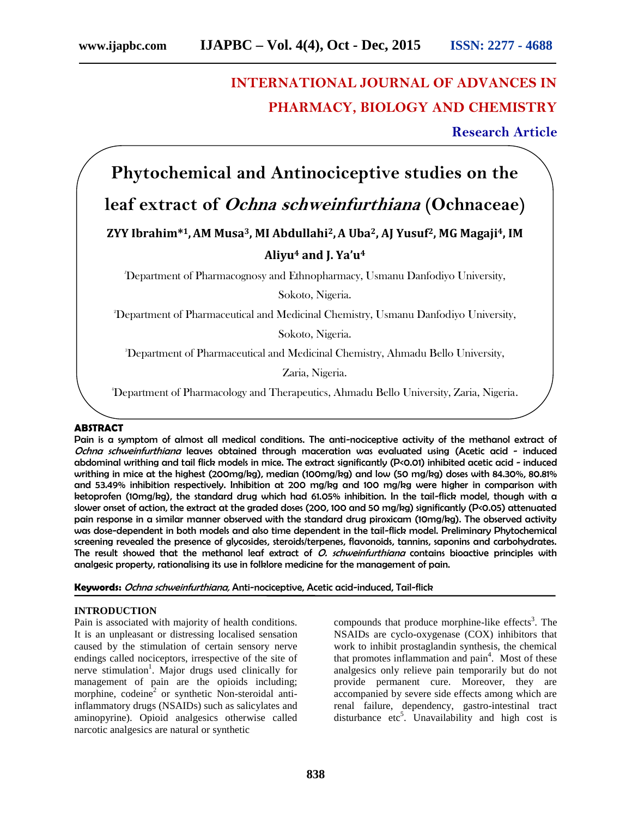# **INTERNATIONAL JOURNAL OF ADVANCES IN PHARMACY, BIOLOGY AND CHEMISTRY**

**Research Article**

## **Phytochemical and Antinociceptive studies on the**

## **leaf extract of** *Ochna schweinfurthiana* **(Ochnaceae)**

### **ZYY Ibrahim\* <sup>1</sup>,AM Musa3, MI Abdullahi2,A Uba2, AJ Yusuf2, MG Magaji4, IM**

### **Aliyu<sup>4</sup> and J. Ya'u<sup>4</sup>**

*<sup>1</sup>* Department of Pharmacognosy and Ethnopharmacy, Usmanu Danfodiyo University,

Sokoto, Nigeria.

<sup>2</sup>Department of Pharmaceutical and Medicinal Chemistry, Usmanu Danfodiyo University,

Sokoto, Nigeria.

<sup>3</sup>Department of Pharmaceutical and Medicinal Chemistry, Ahmadu Bello University,

Zaria, Nigeria.

4Department of Pharmacology and Therapeutics, Ahmadu Bello University, Zaria, Nigeria.

#### **ABSTRACT**

Pain is a symptom of almost all medical conditions. The anti-nociceptive activity of the methanol extract of *Ochna schweinfurthiana* leaves obtained through maceration was evaluated using (Acetic acid - induced abdominal writhing and tail flick models in mice. The extract significantly (P<0.01) inhibited acetic acid - induced writhing in mice at the highest (200mg/kg), median (100mg/kg) and low (50 mg/kg) doses with 84.30%, 80.81% and 53.49% inhibition respectively. Inhibition at 200 mg/kg and 100 mg/kg were higher in comparison with ketoprofen (10mg/kg), the standard drug which had 61.05% inhibition. In the tail-flick model, though with a slower onset of action, the extract at the graded doses (200, 100 and 50 mg/kg) significantly (P<0.05) attenuated pain response in a similar manner observed with the standard drug piroxicam (10mg/kg). The observed activity was dose-dependent in both models and also time dependent in the tail-flick model. Preliminary Phytochemical screening revealed the presence of glycosides, steroids/terpenes, flavonoids, tannins, saponins and carbohydrates. The result showed that the methanol leaf extract of *O. schweinfurthiana* contains bioactive principles with analgesic property, rationalising its use in folklore medicine for the management of pain.

**Keywords:** *Ochna schweinfurthiana,* Anti-nociceptive, Acetic acid-induced, Tail-flick

#### **INTRODUCTION**

Pain is associated with majority of health conditions. It is an unpleasant or distressing localised sensation caused by the stimulation of certain sensory nerve endings called nociceptors, irrespective of the site of nerve stimulation<sup>1</sup>. Major drugs used clinically for management of pain are the opioids including; morphine, codeine<sup>2</sup> or synthetic Non-steroidal antiinflammatory drugs (NSAIDs) such as salicylates and aminopyrine). Opioid analgesics otherwise called narcotic analgesics are natural or synthetic

compounds that produce morphine-like effects<sup>3</sup>. The NSAIDs are cyclo-oxygenase (COX) inhibitors that work to inhibit prostaglandin synthesis, the chemical that promotes inflammation and pain<sup>4</sup>. Most of these analgesics only relieve pain temporarily but do not provide permanent cure. Moreover, they are accompanied by severe side effects among which are renal failure, dependency, gastro-intestinal tract disturbance etc<sup>5</sup>. Unavailability and high cost is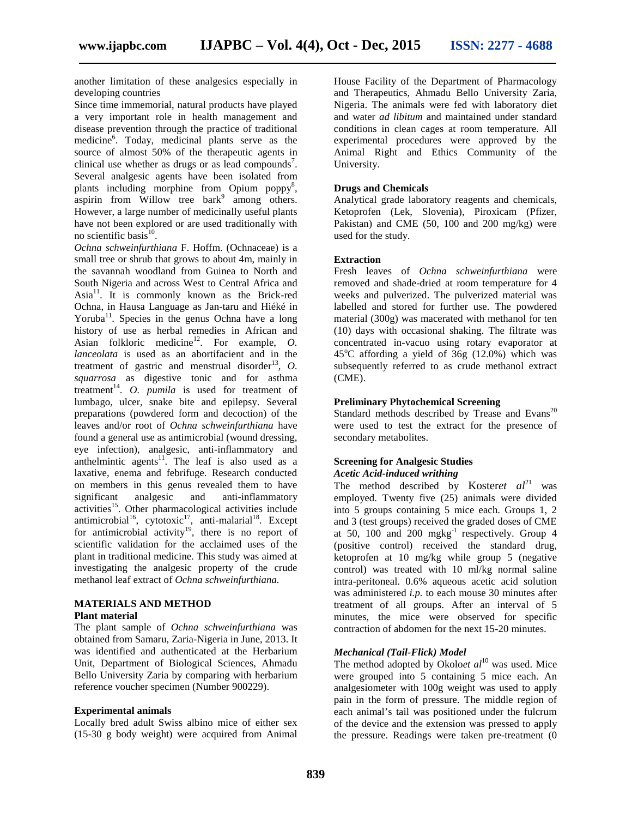another limitation of these analgesics especially in developing countries

Since time immemorial, natural products have played a very important role in health management and disease prevention through the practice of traditional medicine<sup>6</sup>. Today, medicinal plants serve as the source of almost 50% of the therapeutic agents in clinical use whether as drugs or as lead compounds<sup>7</sup>. Several analgesic agents have been isolated from plants including morphine from Opium poppy<sup>8</sup>, aspirin from Willow tree  $bar<sup>9</sup>$  among others. However, a large number of medicinally useful plants have not been explored or are used traditionally with no scientific basis $^{10}$ .

*Ochna schweinfurthiana* F. Hoffm. (Ochnaceae) is a small tree or shrub that grows to about 4m, mainly in the savannah woodland from Guinea to North and South Nigeria and across West to Central Africa and Asia<sup>11</sup>. It is commonly known as the Brick-red Ochna, in Hausa Language as Jan-taru and Hiéké in Yoruba<sup>11</sup>. Species in the genus Ochna have a long history of use as herbal remedies in African and Asian folkloric medicine<sup>12</sup>. For example, *O*. *lanceolata* is used as an abortifacient and in the treatment of gastric and menstrual disorder<sup>13</sup>,  $O$ . *squarrosa* as digestive tonic and for asthma treatment<sup>14</sup>. *O. pumila* is used for treatment of lumbago, ulcer, snake bite and epilepsy. Several preparations (powdered form and decoction) of the leaves and/or root of *Ochna schweinfurthiana* have found a general use as antimicrobial (wound dressing, eye infection), analgesic, anti-inflammatory and anthelmintic agents $11$ . The leaf is also used as a laxative, enema and febrifuge. Research conducted on members in this genus revealed them to have<br>significant analgesic and anti-inflammatory and anti-inflammatory  $\frac{15}{2}$  activities<sup>15</sup>. Other pharmacological activities include antimicrobial<sup>16</sup>, cytotoxic<sup>17</sup>, anti-malarial<sup>18</sup>. Except for antimicrobial activity<sup>19</sup>, there is no report of scientific validation for the acclaimed uses of the plant in traditional medicine. This study was aimed at investigating the analgesic property of the crude methanol leaf extract of *Ochna schweinfurthiana.*

## **MATERIALS AND METHOD**

#### **Plant material**

The plant sample of *Ochna schweinfurthiana* was obtained from Samaru, Zaria-Nigeria in June, 2013. It was identified and authenticated at the Herbarium Unit, Department of Biological Sciences, Ahmadu Bello University Zaria by comparing with herbarium reference voucher specimen (Number 900229).

#### **Experimental animals**

Locally bred adult Swiss albino mice of either sex (15-30 g body weight) were acquired from Animal

House Facility of the Department of Pharmacology and Therapeutics, Ahmadu Bello University Zaria, Nigeria. The animals were fed with laboratory diet and water *ad libitum* and maintained under standard conditions in clean cages at room temperature. All experimental procedures were approved by the Animal Right and Ethics Community of the University.

#### **Drugs and Chemicals**

Analytical grade laboratory reagents and chemicals, Ketoprofen (Lek, Slovenia), Piroxicam (Pfizer, Pakistan) and CME (50, 100 and 200 mg/kg) were used for the study.

#### **Extraction**

Fresh leaves of *Ochna schweinfurthiana* were removed and shade-dried at room temperature for 4 weeks and pulverized. The pulverized material was labelled and stored for further use. The powdered material (300g) was macerated with methanol for ten (10) days with occasional shaking. The filtrate was concentrated in-vacuo using rotary evaporator at  $45^{\circ}$ C affording a yield of  $36g$  (12.0%) which was subsequently referred to as crude methanol extract (CME).

#### **Preliminary Phytochemical Screening**

Standard methods described by Trease and Evans<sup>20</sup> were used to test the extract for the presence of secondary metabolites.

#### **Screening for Analgesic Studies** *Acetic Acid-induced writhing*

The method described by Kosteret  $al^{21}$  was employed. Twenty five (25) animals were divided into 5 groups containing 5 mice each. Groups 1, 2 and 3 (test groups) received the graded doses of CME at 50, 100 and 200 mgkg $^{-1}$  respectively. Group 4 (positive control) received the standard drug, ketoprofen at 10 mg/kg while group 5 (negative control) was treated with 10 ml/kg normal saline intra-peritoneal. 0.6% aqueous acetic acid solution was administered *i.p.* to each mouse 30 minutes after treatment of all groups. After an interval of 5 minutes, the mice were observed for specific contraction of abdomen for the next 15-20 minutes.

#### *Mechanical (Tail-Flick) Model*

The method adopted by Okolo*et al*<sup>10</sup> was used. Mice were grouped into 5 containing 5 mice each. An analgesiometer with 100g weight was used to apply pain in the form of pressure. The middle region of each animal's tail was positioned under the fulcrum of the device and the extension was pressed to apply the pressure. Readings were taken pre-treatment (0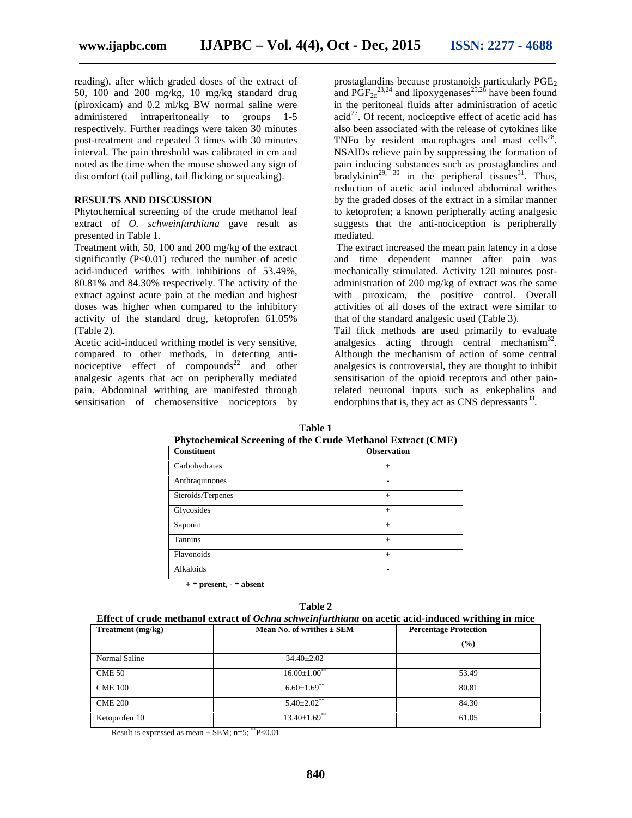reading), after which graded doses of the extract of 50, 100 and 200 mg/kg, 10 mg/kg standard drug (piroxicam) and 0.2 ml/kg BW normal saline were administered intraperitoneally to groups 1-5 respectively. Further readings were taken 30 minutes post-treatment and repeated 3 times with 30 minutes interval. The pain threshold was calibrated in cm and noted as the time when the mouse showed any sign of discomfort (tail pulling, tail flicking or squeaking).

#### **RESULTS AND DISCUSSION**

Phytochemical screening of the crude methanol leaf extract of *O. schweinfurthiana* gave result as presented in Table 1.

Treatment with, 50, 100 and 200 mg/kg of the extract significantly  $(P<0.01)$  reduced the number of acetic acid-induced writhes with inhibitions of 53.49%, 80.81% and 84.30% respectively. The activity of the extract against acute pain at the median and highest doses was higher when compared to the inhibitory activity of the standard drug, ketoprofen 61.05% (Table 2).

Acetic acid-induced writhing model is very sensitive, compared to other methods, in detecting anti nociceptive effect of compounds<sup>22</sup> and other analgesic agents that act on peripherally mediated pain. Abdominal writhing are manifested through sensitisation of chemosensitive nociceptors by

prostaglandins because prostanoids particularly  $PGE<sub>2</sub>$ and  $\text{PGF}_2$  <sup>23,24</sup> and lipoxygenases<sup>25,26</sup> have been found in the peritoneal fluids after administration of acetic  $\alpha$ acid<sup>27</sup>. Of recent, nociceptive effect of acetic acid has also been associated with the release of cytokines like TNF by resident macrophages and mast cells $^{28}$ . NSAIDs relieve pain by suppressing the formation of pain inducing substances such as prostaglandins and bradykinin<sup>29, 30</sup> in the peripheral tissues<sup>31</sup>. Thus, reduction of acetic acid induced abdominal writhes by the graded doses of the extract in a similar manner to ketoprofen; a known peripherally acting analgesic suggests that the anti-nociception is peripherally mediated.

The extract increased the mean pain latency in a dose and time dependent manner after pain was mechanically stimulated. Activity 120 minutes post administration of 200 mg/kg of extract was the same with piroxicam, the positive control. Overall activities of all doses of the extract were similar to that of the standard analgesic used (Table 3).

Tail flick methods are used primarily to evaluate analgesics acting through central mechanism $^{32}$ . Although the mechanism of action of some central analgesics is controversial, they are thought to inhibit sensitisation of the opioid receptors and other painrelated neuronal inputs such as enkephalins and endorphins that is, they act as CNS depressants $^{33}$ .

| Phytochemical Screening of the Crude Methanol Extract (CME) |                    |  |
|-------------------------------------------------------------|--------------------|--|
| <b>Constituent</b>                                          | <b>Observation</b> |  |
| Carbohydrates                                               | $^{+}$             |  |
| Anthraquinones                                              |                    |  |
| Steroids/Terpenes                                           | $^{+}$             |  |
| Glycosides                                                  | $^{+}$             |  |
| Saponin                                                     | $^{+}$             |  |
| Tannins                                                     | $^{+}$             |  |
| Flavonoids                                                  | $^{+}$             |  |
| Alkaloids                                                   | -                  |  |
|                                                             |                    |  |

**Table 1 Phytochemical Screening of the Crude Methanol Extract (CME)**

**+ = present, - = absent**

**Table 2**

| Effect of crude methanol extract of <i>Ochna schweinfurthiana</i> on acetic acid-induced writhing in mice |  |
|-----------------------------------------------------------------------------------------------------------|--|
|                                                                                                           |  |

| Treatment (mg/kg) | Mean No. of writhes $\pm$ SEM  | <b>Percentage Protection</b> |  |
|-------------------|--------------------------------|------------------------------|--|
|                   |                                | (%)                          |  |
| Normal Saline     | $34.40 \pm 2.02$               |                              |  |
| CME 50            | $16.00 \pm 1.00$ <sup>**</sup> | 53.49                        |  |
| <b>CME 100</b>    | $6.60 \pm 1.69$ **             | 80.81                        |  |
| <b>CME 200</b>    | $5.40 \pm 2.02$ <sup>**</sup>  | 84.30                        |  |
| Ketoprofen 10     | $13.40 \pm 1.69$ <sup>**</sup> | 61.05                        |  |

Result is expressed as mean  $\pm$  SEM; n=5; \*\*P<0.01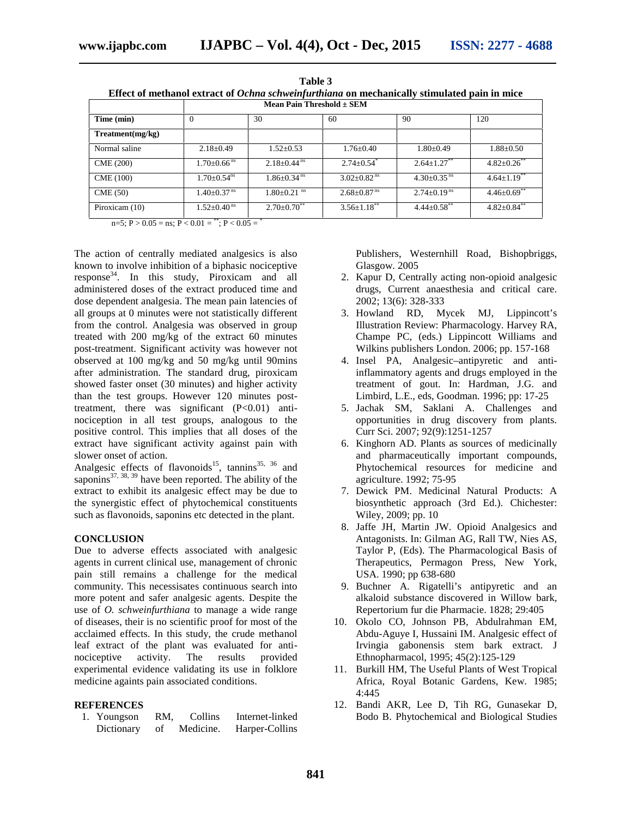|                  | Mean Pain Threshold $\pm$ SEM |                               |                               |                               |                               |
|------------------|-------------------------------|-------------------------------|-------------------------------|-------------------------------|-------------------------------|
| Time (min)       | $\Omega$                      | 30                            | 60                            | 90                            | 120                           |
| Treatment(mg/kg) |                               |                               |                               |                               |                               |
| Normal saline    | $2.18 + 0.49$                 | $1.52 + 0.53$                 | $1.76 + 0.40$                 | $1.80 + 0.49$                 | $1.88 \pm 0.50$               |
| CME (200)        | $1.70 + 0.66$ <sup>ns</sup>   | $2.18+0.44$ <sup>ns</sup>     | $2.74 + 0.54^*$               | $2.64 \pm 1.27$ **            | $4.82 \pm 0.26$ **            |
| CME(100)         | $1.70 + 0.54$ <sup>ns</sup>   | $1.86 + 0.34$ <sup>ns</sup>   | $3.02 + 0.82$ <sup>ns</sup>   | $4.30\pm0.35$ <sup>ns</sup>   | $4.64 \pm 1.19$ <sup>**</sup> |
| CME(50)          | $1.40 \pm 0.37$ <sup>ns</sup> | $1.80 \pm 0.21$ <sup>ns</sup> | $2.68 \pm 0.87$ <sup>ns</sup> | $2.74+0.19$ <sup>ns</sup>     | $4.46 \pm 0.69$ **            |
| Piroxicam (10)   | $1.52 \pm 0.40$ <sup>ns</sup> | $2.70 \pm 0.70$ <sup>**</sup> | $3.56 \pm 1.18$ <sup>**</sup> | $4.44 \pm 0.58$ <sup>**</sup> | $4.82 \pm 0.84$ <sup>**</sup> |

**Table 3**

 $n=5$ ;  $P > 0.05 =$  ns;  $P < 0.01 =$  \*\*\*;  $P < 0.05 =$ 

The action of centrally mediated analgesics is also known to involve inhibition of a biphasic nociceptive  $response<sup>34</sup>$ . In this study, Piroxicam and all administered doses of the extract produced time and dose dependent analgesia. The mean pain latencies of all groups at 0 minutes were not statistically different from the control. Analgesia was observed in group treated with 200 mg/kg of the extract 60 minutes post-treatment. Significant activity was however not observed at 100 mg/kg and 50 mg/kg until 90mins after administration. The standard drug, piroxicam showed faster onset (30 minutes) and higher activity than the test groups. However 120 minutes posttreatment, there was significant (P<0.01) antinociception in all test groups, analogous to the positive control. This implies that all doses of the extract have significant activity against pain with slower onset of action.

Analgesic effects of flavonoids<sup>15</sup>, tannins<sup>35, 36</sup> and saponins $37, 38, 39$  have been reported. The ability of the extract to exhibit its analgesic effect may be due to the synergistic effect of phytochemical constituents such as flavonoids, saponins etc detected in the plant.

#### **CONCLUSION**

Due to adverse effects associated with analgesic agents in current clinical use, management of chronic pain still remains a challenge for the medical community. This necessisates continuous search into more potent and safer analgesic agents. Despite the use of *O. schweinfurthiana* to manage a wide range of diseases, their is no scientific proof for most of the acclaimed effects. In this study, the crude methanol leaf extract of the plant was evaluated for anti nociceptive activity. The results provided experimental evidence validating its use in folklore medicine againts pain associated conditions.

#### **REFERENCES**

1. Youngson RM, Collins Internet-linked Dictionary of Medicine. Harper-Collins

Publishers, Westernhill Road, Bishopbriggs, Glasgow. 2005

- 2. Kapur D, Centrally acting non-opioid analgesic drugs, Current anaesthesia and critical care. 2002; 13(6): 328-333
- 3. Howland RD, Mycek MJ, Lippincott's Illustration Review: Pharmacology. Harvey RA, Champe PC, (eds.) Lippincott Williams and Wilkins publishers London. 2006; pp. 157-168
- 4. Insel PA, Analgesic–antipyretic and antiinflammatory agents and drugs employed in the treatment of gout. In: Hardman, J.G. and Limbird, L.E., eds, Goodman. 1996; pp: 17-25
- 5. Jachak SM, Saklani A. Challenges and opportunities in drug discovery from plants. Curr Sci. 2007; 92(9):1251-1257
- 6. Kinghorn AD. Plants as sources of medicinally and pharmaceutically important compounds, Phytochemical resources for medicine and agriculture. 1992; 75-95
- 7. Dewick PM. Medicinal Natural Products: A biosynthetic approach (3rd Ed.). Chichester: Wiley, 2009; pp. 10
- 8. Jaffe JH, Martin JW. Opioid Analgesics and Antagonists. In: Gilman AG, Rall TW, Nies AS, Taylor P, (Eds). The Pharmacological Basis of Therapeutics, Permagon Press, New York, USA. 1990; pp 638-680
- 9. Buchner A. Rigatelli's antipyretic and an alkaloid substance discovered in Willow bark, Repertorium fur die Pharmacie. 1828; 29:405
- 10. Okolo CO, Johnson PB, Abdulrahman EM, Abdu-Aguye I, Hussaini IM. Analgesic effect of Irvingia gabonensis stem bark extract. J Ethnopharmacol, 1995; 45(2):125-129
- 11. Burkill HM, The Useful Plants of West Tropical Africa, Royal Botanic Gardens, Kew. 1985; 4:445
- 12. Bandi AKR, Lee D, Tih RG, Gunasekar D, Bodo B. Phytochemical and Biological Studies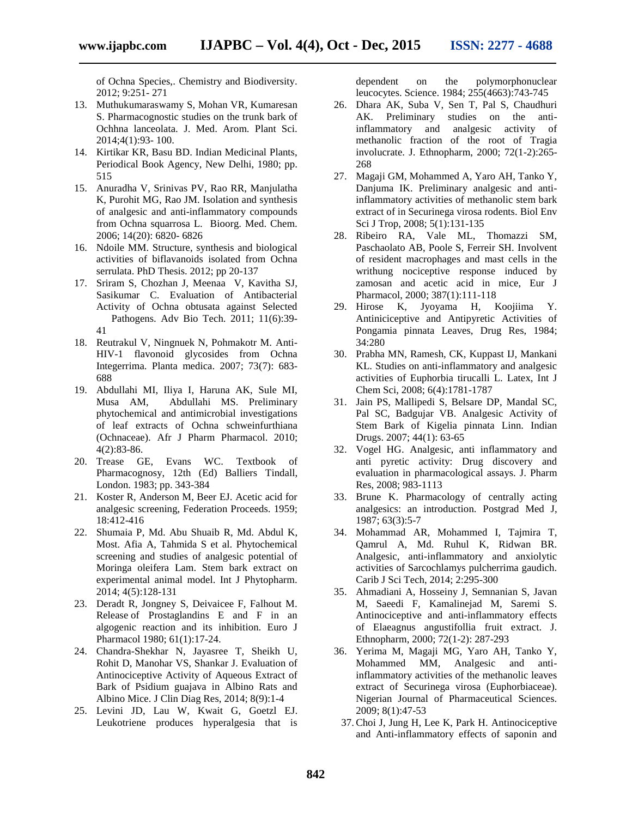of Ochna Species,. Chemistry and Biodiversity. 2012; 9:251- 271

- 13. Muthukumaraswamy S, Mohan VR, Kumaresan S. Pharmacognostic studies on the trunk bark of Ochhna lanceolata. J. Med. Arom. Plant Sci. 2014;4(1):93- 100.
- 14. Kirtikar KR, Basu BD. Indian Medicinal Plants, Periodical Book Agency, New Delhi, 1980; pp. 515
- 15. Anuradha V, Srinivas PV, Rao RR, Manjulatha K, Purohit MG, Rao JM. Isolation and synthesis of analgesic and anti-inflammatory compounds from Ochna squarrosa L. Bioorg. Med. Chem. 2006; 14(20): 6820- 6826
- 16. Ndoile MM. Structure, synthesis and biological activities of biflavanoids isolated from Ochna serrulata. PhD Thesis. 2012; pp 20-137
- 17. Sriram S, Chozhan J, Meenaa V, Kavitha SJ, Sasikumar C. Evaluation of Antibacterial Activity of Ochna obtusata against Selected Pathogens. Adv Bio Tech. 2011; 11(6):39- 41
- 18. Reutrakul V, Ningnuek N, Pohmakotr M. Anti- HIV-1 flavonoid glycosides from Ochna Integerrima. Planta medica. 2007; 73(7): 683- 688
- 19. Abdullahi MI, Iliya I, Haruna AK, Sule MI, Musa AM, Abdullahi MS. Preliminary phytochemical and antimicrobial investigations of leaf extracts of Ochna schweinfurthiana (Ochnaceae). Afr J Pharm Pharmacol. 2010; 4(2):83-86.
- 20. Trease GE, Evans WC. Textbook of Pharmacognosy, 12th (Ed) Balliers Tindall, London. 1983; pp. 343-384
- 21. Koster R, Anderson M, Beer EJ. Acetic acid for analgesic screening, Federation Proceeds. 1959; 18:412-416
- 22. Shumaia P, Md. Abu Shuaib R, Md. Abdul K, Most. Afia A, Tahmida S et al. Phytochemical screening and studies of analgesic potential of Moringa oleifera Lam. Stem bark extract on experimental animal model. Int J Phytopharm. 2014; 4(5):128-131
- 23. Deradt R, Jongney S, Deivaicee F, Falhout M. Release of Prostaglandins E and F in an algogenic reaction and its inhibition. Euro J Pharmacol 1980; 61(1):17-24.
- 24. Chandra-Shekhar N, Jayasree T, Sheikh U, Rohit D, Manohar VS, Shankar J. Evaluation of Antinociceptive Activity of Aqueous Extract of Bark of Psidium guajava in Albino Rats and Albino Mice. J Clin Diag Res, 2014; 8(9):1-4
- 25. Levini JD, Lau W, Kwait G, Goetzl EJ. Leukotriene produces hyperalgesia that is

dependent on the polymorphonuclear leucocytes. Science. 1984; 255(4663):743-745

- 26. Dhara AK, Suba V, Sen T, Pal S, Chaudhuri AK. Preliminary studies on the antiinflammatory and analgesic activity of methanolic fraction of the root of Tragia involucrate. J. Ethnopharm, 2000; 72(1-2):265- 268
- 27. Magaji GM, Mohammed A, Yaro AH, Tanko Y, Danjuma IK. Preliminary analgesic and antiinflammatory activities of methanolic stem bark extract of in Securinega virosa rodents. Biol Env Sci J Trop, 2008; 5(1):131-135
- 28. Ribeiro RA, Vale ML, Thomazzi SM, Paschaolato AB, Poole S, Ferreir SH. Involvent of resident macrophages and mast cells in the writhung nociceptive response induced by zamosan and acetic acid in mice, Eur J Pharmacol, 2000; 387(1):111-118
- 29. Hirose K, Jyoyama H, Koojiima Y. Antiniciceptive and Antipyretic Activities of Pongamia pinnata Leaves, Drug Res, 1984; 34:280
- 30. Prabha MN, Ramesh, CK, Kuppast IJ, Mankani KL. Studies on anti-inflammatory and analgesic activities of Euphorbia tirucalli L. Latex, Int J Chem Sci, 2008; 6(4):1781-1787
- 31. Jain PS, Mallipedi S, Belsare DP, Mandal SC, Pal SC, Badgujar VB. Analgesic Activity of Stem Bark of Kigelia pinnata Linn. Indian Drugs. 2007; 44(1): 63-65
- 32. Vogel HG. Analgesic, anti inflammatory and anti pyretic activity: Drug discovery and evaluation in pharmacological assays. J. Pharm Res, 2008; 983-1113
- 33. Brune K. Pharmacology of centrally acting analgesics: an introduction. Postgrad Med J, 1987; 63(3):5-7
- 34. Mohammad AR, Mohammed I, Tajmira T, Qamrul A, Md. Ruhul K, Ridwan BR. Analgesic, anti-inflammatory and anxiolytic activities of Sarcochlamys pulcherrima gaudich. Carib J Sci Tech, 2014; 2:295-300
- 35. Ahmadiani A, Hosseiny J, Semnanian S, Javan M, Saeedi F, Kamalinejad M, Saremi S. Antinociceptive and anti-inflammatory effects of Elaeagnus angustifollia fruit extract. J. Ethnopharm, 2000; 72(1-2): 287-293
- 36. Yerima M, Magaji MG, Yaro AH, Tanko Y, Mohammed MM, Analgesic and antiinflammatory activities of the methanolic leaves extract of Securinega virosa (Euphorbiaceae). Nigerian Journal of Pharmaceutical Sciences. 2009; 8(1):47-53
- 37. Choi J, Jung H, Lee K, Park H. Antinociceptive and Anti-inflammatory effects of saponin and